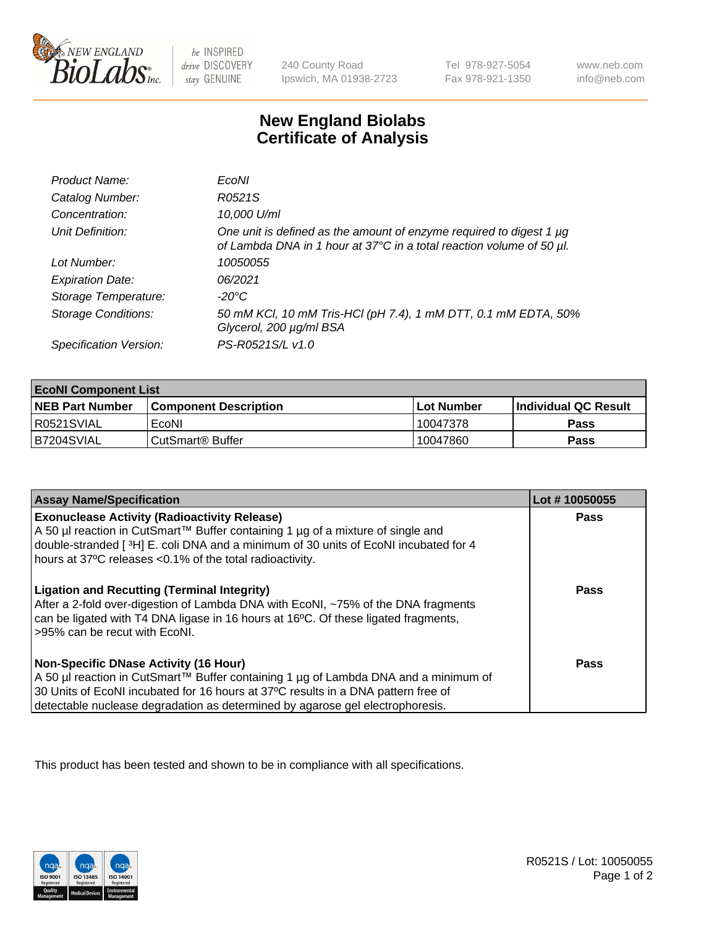

 $be$  INSPIRED drive DISCOVERY stay GENUINE

240 County Road Ipswich, MA 01938-2723 Tel 978-927-5054 Fax 978-921-1350 www.neb.com info@neb.com

## **New England Biolabs Certificate of Analysis**

| Product Name:              | EcoNI                                                                                                                                            |
|----------------------------|--------------------------------------------------------------------------------------------------------------------------------------------------|
| Catalog Number:            | R0521S                                                                                                                                           |
| Concentration:             | 10,000 U/ml                                                                                                                                      |
| Unit Definition:           | One unit is defined as the amount of enzyme required to digest 1 $\mu$ g<br>of Lambda DNA in 1 hour at 37°C in a total reaction volume of 50 µl. |
| Lot Number:                | 10050055                                                                                                                                         |
| <b>Expiration Date:</b>    | 06/2021                                                                                                                                          |
| Storage Temperature:       | -20°C                                                                                                                                            |
| <b>Storage Conditions:</b> | 50 mM KCl, 10 mM Tris-HCl (pH 7.4), 1 mM DTT, 0.1 mM EDTA, 50%<br>Glycerol, 200 µg/ml BSA                                                        |
| Specification Version:     | PS-R0521S/L v1.0                                                                                                                                 |

| <b>EcoNI Component List</b> |                         |              |                             |  |
|-----------------------------|-------------------------|--------------|-----------------------------|--|
| <b>NEB Part Number</b>      | l Component Description | l Lot Number | <b>Individual QC Result</b> |  |
| R0521SVIAL                  | EcoNI                   | ' 10047378   | Pass                        |  |
| B7204SVIAL                  | l CutSmart® Buffer      | 10047860     | Pass                        |  |

| <b>Assay Name/Specification</b>                                                                                                                                                                                                                                                                           | Lot #10050055 |
|-----------------------------------------------------------------------------------------------------------------------------------------------------------------------------------------------------------------------------------------------------------------------------------------------------------|---------------|
| <b>Exonuclease Activity (Radioactivity Release)</b><br>A 50 µl reaction in CutSmart™ Buffer containing 1 µg of a mixture of single and<br>double-stranded [3H] E. coli DNA and a minimum of 30 units of EcoNI incubated for 4<br>hours at 37°C releases <0.1% of the total radioactivity.                 | Pass          |
| <b>Ligation and Recutting (Terminal Integrity)</b><br>After a 2-fold over-digestion of Lambda DNA with EcoNI, ~75% of the DNA fragments<br>can be ligated with T4 DNA ligase in 16 hours at 16°C. Of these ligated fragments,<br>>95% can be recut with EcoNI.                                            | Pass          |
| <b>Non-Specific DNase Activity (16 Hour)</b><br>A 50 µl reaction in CutSmart™ Buffer containing 1 µg of Lambda DNA and a minimum of<br>30 Units of EcoNI incubated for 16 hours at 37°C results in a DNA pattern free of<br>detectable nuclease degradation as determined by agarose gel electrophoresis. | <b>Pass</b>   |

This product has been tested and shown to be in compliance with all specifications.